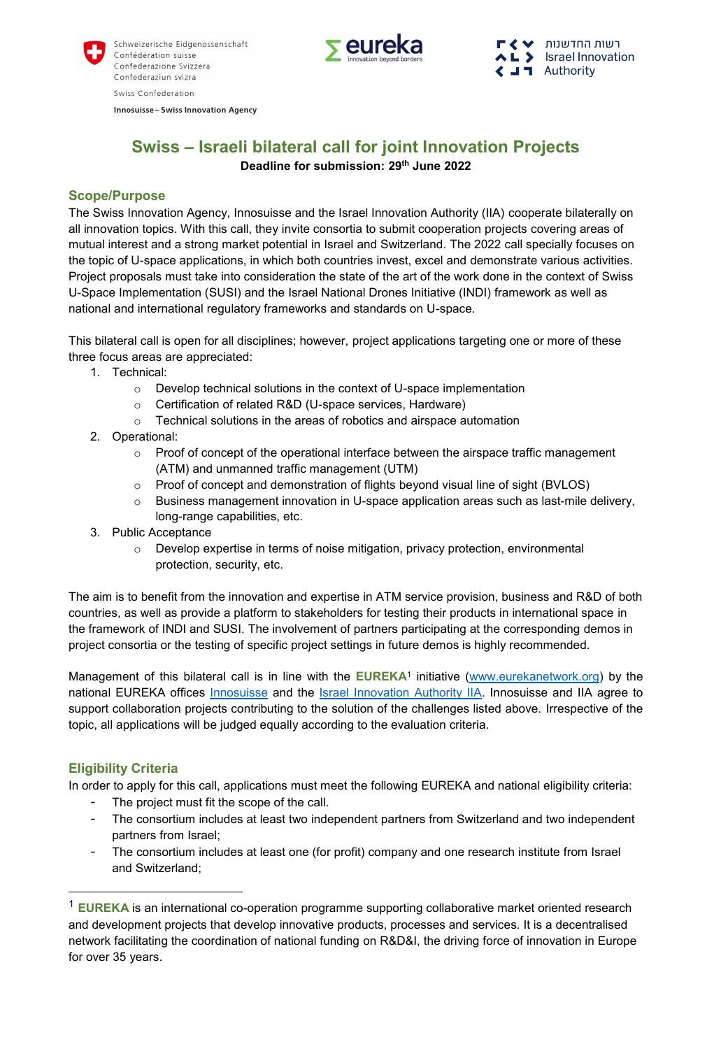

**Innosuisse - Swiss Innovation Agency** 



רשות החדשנות L> **Israel Innovation**  $\langle \square$  **T** Authority

# **Swiss – Israeli bilateral call for joint Innovation Projects Deadline for submission: 29th June 2022**

## **Scope/Purpose**

The Swiss Innovation Agency, Innosuisse and the Israel Innovation Authority (IIA) cooperate bilaterally on all innovation topics. With this call, they invite consortia to submit cooperation projects covering areas of mutual interest and a strong market potential in Israel and Switzerland. The 2022 call specially focuses on the topic of U-space applications, in which both countries invest, excel and demonstrate various activities. Project proposals must take into consideration the state of the art of the work done in the context of Swiss U-Space Implementation (SUSI) and the Israel National Drones Initiative (INDI) framework as well as national and international regulatory frameworks and standards on U-space.

This bilateral call is open for all disciplines; however, project applications targeting one or more of these three focus areas are appreciated:

- 1. Technical:
	- o Develop technical solutions in the context of U-space implementation
	- o Certification of related R&D (U-space services, Hardware)
	- o Technical solutions in the areas of robotics and airspace automation
- 2. Operational:
	- $\circ$  Proof of concept of the operational interface between the airspace traffic management (ATM) and unmanned traffic management (UTM)
	- $\circ$  Proof of concept and demonstration of flights beyond visual line of sight (BVLOS)
	- $\circ$  Business management innovation in U-space application areas such as last-mile delivery, long-range capabilities, etc.
- 3. Public Acceptance
	- $\circ$  Develop expertise in terms of noise mitigation, privacy protection, environmental protection, security, etc.

The aim is to benefit from the innovation and expertise in ATM service provision, business and R&D of both countries, as well as provide a platform to stakeholders for testing their products in international space in the framework of INDI and SUSI. The involvement of partners participating at the corresponding demos in project consortia or the testing of specific project settings in future demos is highly recommended.

Management of this bilateral call is in line with the **EUREKA**<sup>1</sup> initiative [\(www.eurekanetwork.org\)](http://www.eurekanetwork.org/) by the national EUREKA offices **Innosuisse and the** *Israel Innovation Authority IIA***. [Innosuisse](http://www.innosuisse.ch/) and IIA agree to** support collaboration projects contributing to the solution of the challenges listed above. Irrespective of the topic, all applications will be judged equally according to the evaluation criteria.

# **Eligibility Criteria**

**.** 

In order to apply for this call, applications must meet the following EUREKA and national eligibility criteria:

- The project must fit the scope of the call.
- The consortium includes at least two independent partners from Switzerland and two independent partners from Israel;
- The consortium includes at least one (for profit) company and one research institute from Israel and Switzerland;

<sup>1</sup> **EUREKA** is an international co-operation programme supporting collaborative market oriented research and development projects that develop innovative products, processes and services. It is a decentralised network facilitating the coordination of national funding on R&D&I, the driving force of innovation in Europe for over 35 years.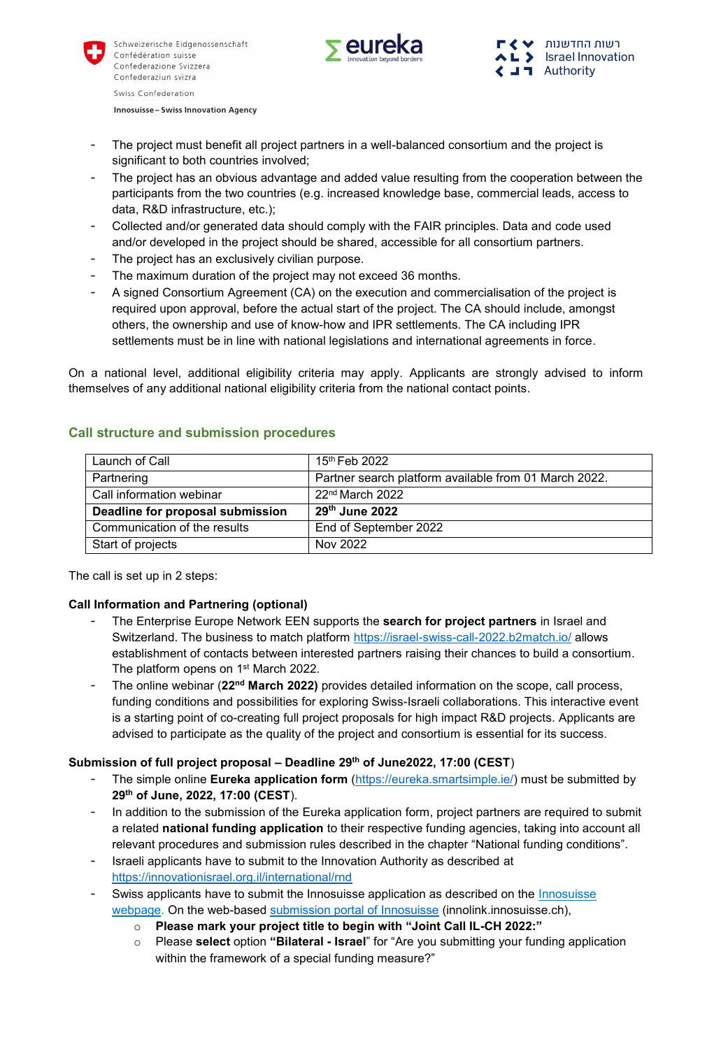



**Innosuisse - Swiss Innovation Agency** 

- The project must benefit all project partners in a well-balanced consortium and the project is significant to both countries involved;
- The project has an obvious advantage and added value resulting from the cooperation between the participants from the two countries (e.g. increased knowledge base, commercial leads, access to data, R&D infrastructure, etc.);
- Collected and/or generated data should comply with the FAIR principles. Data and code used and/or developed in the project should be shared, accessible for all consortium partners.
- The project has an exclusively civilian purpose.
- The maximum duration of the project may not exceed 36 months.
- A signed Consortium Agreement (CA) on the execution and commercialisation of the project is required upon approval, before the actual start of the project. The CA should include, amongst others, the ownership and use of know-how and IPR settlements. The CA including IPR settlements must be in line with national legislations and international agreements in force.

On a national level, additional eligibility criteria may apply. Applicants are strongly advised to inform themselves of any additional national eligibility criteria from the national contact points.

| Launch of Call                   | 15 <sup>th</sup> Feb 2022                             |
|----------------------------------|-------------------------------------------------------|
| Partnering                       | Partner search platform available from 01 March 2022. |
| Call information webinar         | 22 <sup>nd</sup> March 2022                           |
| Deadline for proposal submission | 29th June 2022                                        |
| Communication of the results     | End of September 2022                                 |
| Start of projects                | Nov 2022                                              |

## **Call structure and submission procedures**

The call is set up in 2 steps:

# **Call Information and Partnering (optional)**

- The Enterprise Europe Network EEN supports the **search for project partners** in Israel and Switzerland. The business to match platform<https://israel-swiss-call-2022.b2match.io/> allows establishment of contacts between interested partners raising their chances to build a consortium. The platform opens on 1<sup>st</sup> March 2022.
- The online webinar (22<sup>nd</sup> March 2022) provides detailed information on the scope, call process, funding conditions and possibilities for exploring Swiss-Israeli collaborations. This interactive event is a starting point of co-creating full project proposals for high impact R&D projects. Applicants are advised to participate as the quality of the project and consortium is essential for its success.

## **Submission of full project proposal – Deadline 29th of June2022, 17:00 (CEST**)

- The simple online **Eureka application form** [\(https://eureka.smartsimple.ie/\)](https://eureka.smartsimple.ie/) must be submitted by **29th of June, 2022, 17:00 (CEST**).
- In addition to the submission of the Eureka application form, project partners are required to submit a related **national funding application** to their respective funding agencies, taking into account all relevant procedures and submission rules described in the chapter "National funding conditions".
- Israeli applicants have to submit to the Innovation Authority as described at <https://innovationisrael.org.il/international/rnd>
- Swiss applicants have to submit the [Innosuisse](https://www.innosuisse.ch/inno/en/home/platforms/application-platform.html) application as described on the *Innosuisse* [webpage.](https://www.innosuisse.ch/inno/en/home/platforms/application-platform.html) On the web-based [submission portal of Innosuisse](https://innolink.innosuisse.ch/) (innolink.innosuisse.ch),
	- o **Please mark your project title to begin with "Joint Call IL-CH 2022:"**
	- o Please **select** option **"Bilateral - Israel**" for "Are you submitting your funding application within the framework of a special funding measure?"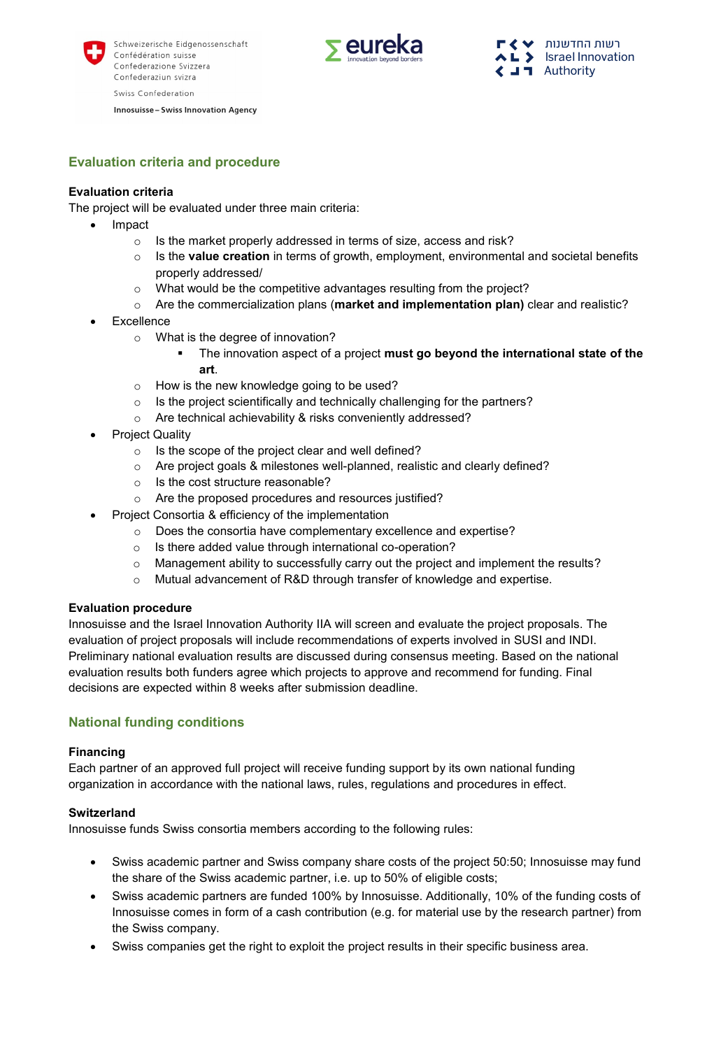

**Innosuisse - Swiss Innovation Agency** 



**Evaluation criteria and procedure**

## **Evaluation criteria**

The project will be evaluated under three main criteria:

- Impact
	- o Is the market properly addressed in terms of size, access and risk?
	- o Is the **value creation** in terms of growth, employment, environmental and societal benefits properly addressed/
	- o What would be the competitive advantages resulting from the project?
	- o Are the commercialization plans (**market and implementation plan)** clear and realistic?
- Excellence
	- o What is the degree of innovation?
		- The innovation aspect of a project **must go beyond the international state of the art**.
	- o How is the new knowledge going to be used?
	- $\circ$  Is the project scientifically and technically challenging for the partners?
	- o Are technical achievability & risks conveniently addressed?
- Project Quality
	- $\circ$  Is the scope of the project clear and well defined?
	- o Are project goals & milestones well-planned, realistic and clearly defined?
	- o Is the cost structure reasonable?
	- o Are the proposed procedures and resources justified?
- Project Consortia & efficiency of the implementation
	- o Does the consortia have complementary excellence and expertise?
	- o Is there added value through international co-operation?
	- $\circ$  Management ability to successfully carry out the project and implement the results?
	- o Mutual advancement of R&D through transfer of knowledge and expertise.

#### **Evaluation procedure**

Innosuisse and the Israel Innovation Authority IIA will screen and evaluate the project proposals. The evaluation of project proposals will include recommendations of experts involved in SUSI and INDI. Preliminary national evaluation results are discussed during consensus meeting. Based on the national evaluation results both funders agree which projects to approve and recommend for funding. Final decisions are expected within 8 weeks after submission deadline.

## **National funding conditions**

#### **Financing**

Each partner of an approved full project will receive funding support by its own national funding organization in accordance with the national laws, rules, regulations and procedures in effect.

#### **Switzerland**

Innosuisse funds Swiss consortia members according to the following rules:

- Swiss academic partner and Swiss company share costs of the project 50:50; Innosuisse may fund the share of the Swiss academic partner, i.e. up to 50% of eligible costs;
- Swiss academic partners are funded 100% by Innosuisse. Additionally, 10% of the funding costs of Innosuisse comes in form of a cash contribution (e.g. for material use by the research partner) from the Swiss company.
- Swiss companies get the right to exploit the project results in their specific business area.